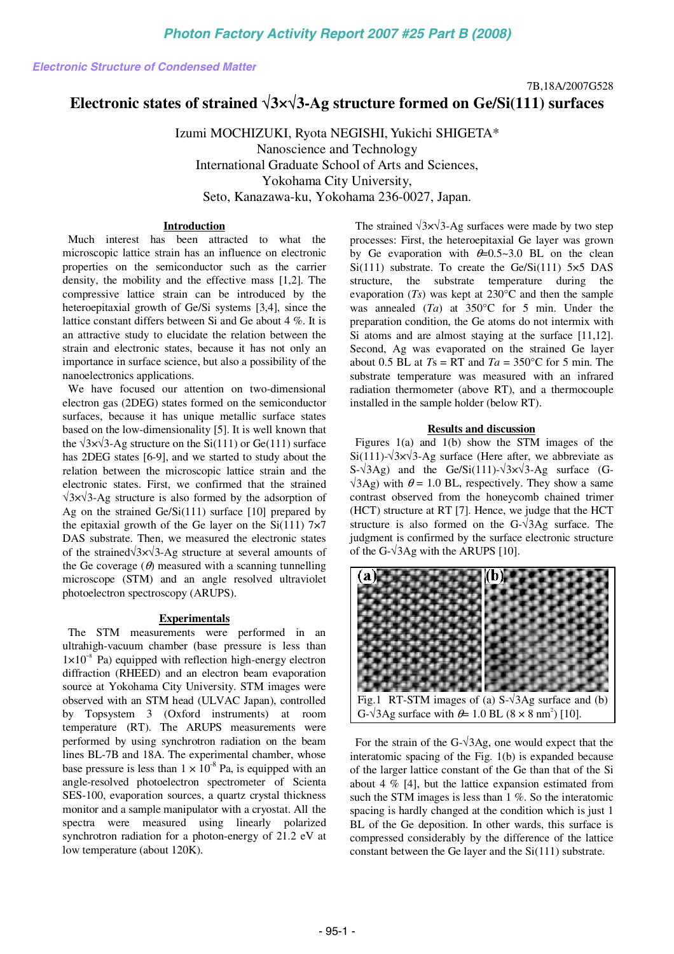# **Electronic states of strained** √**3×**√**3-Ag structure formed on Ge/Si(111) surfaces**

Izumi MOCHIZUKI, Ryota NEGISHI, Yukichi SHIGETA\* Nanoscience and Technology International Graduate School of Arts and Sciences, Yokohama City University, Seto, Kanazawa-ku, Yokohama 236-0027, Japan.

## **Introduction**

Much interest has been attracted to what the microscopic lattice strain has an influence on electronic properties on the semiconductor such as the carrier density, the mobility and the effective mass [1,2]. The compressive lattice strain can be introduced by the heteroepitaxial growth of Ge/Si systems [3,4], since the lattice constant differs between Si and Ge about 4 %. It is an attractive study to elucidate the relation between the strain and electronic states, because it has not only an importance in surface science, but also a possibility of the nanoelectronics applications.

We have focused our attention on two-dimensional electron gas (2DEG) states formed on the semiconductor surfaces, because it has unique metallic surface states based on the low-dimensionality [5]. It is well known that the  $\sqrt{3} \times \sqrt{3}$ -Ag structure on the Si(111) or Ge(111) surface has 2DEG states [6-9], and we started to study about the relation between the microscopic lattice strain and the electronic states. First, we confirmed that the strained √3×√3-Ag structure is also formed by the adsorption of Ag on the strained Ge/Si(111) surface [10] prepared by the epitaxial growth of the Ge layer on the  $Si(111)$  7×7 DAS substrate. Then, we measured the electronic states of the strained√3×√3-Ag structure at several amounts of the Ge coverage  $(\theta)$  measured with a scanning tunnelling microscope (STM) and an angle resolved ultraviolet photoelectron spectroscopy (ARUPS).

#### **Experimentals**

The STM measurements were performed in an ultrahigh-vacuum chamber (base pressure is less than 1×10−8 Pa) equipped with reflection high-energy electron diffraction (RHEED) and an electron beam evaporation source at Yokohama City University. STM images were observed with an STM head (ULVAC Japan), controlled by Topsystem 3 (Oxford instruments) at room temperature (RT). The ARUPS measurements were performed by using synchrotron radiation on the beam lines BL-7B and 18A. The experimental chamber, whose base pressure is less than  $1 \times 10^{-8}$  Pa, is equipped with an angle-resolved photoelectron spectrometer of Scienta SES-100, evaporation sources, a quartz crystal thickness monitor and a sample manipulator with a cryostat. All the spectra were measured using linearly polarized synchrotron radiation for a photon-energy of 21.2 eV at low temperature (about 120K). **Electronic Structure of Condensed Matter Condensed Matter Condensed Matter Condensed Matter Condensed Matter Condensed Matter Condensed Matter Condensed Matter Condensed Matter Condensed Matter Condensed Matter Condensed** 

The strained  $\sqrt{3} \times \sqrt{3}$ -Ag surfaces were made by two step processes: First, the heteroepitaxial Ge layer was grown by Ge evaporation with  $\theta = 0.5 \times 3.0$  BL on the clean Si(111) substrate. To create the  $Ge/Si(111)$  5×5 DAS structure, the substrate temperature during the evaporation (*Ts*) was kept at 230°C and then the sample was annealed (*Ta*) at 350°C for 5 min. Under the preparation condition, the Ge atoms do not intermix with Si atoms and are almost staying at the surface [11,12]. Second, Ag was evaporated on the strained Ge layer about 0.5 BL at  $Ts = RT$  and  $Ta = 350^{\circ}C$  for 5 min. The substrate temperature was measured with an infrared radiation thermometer (above RT), and a thermocouple installed in the sample holder (below RT).

### **Results and discussion**

Figures 1(a) and 1(b) show the STM images of the Si(111)- $\sqrt{3} \times \sqrt{3}$ -Ag surface (Here after, we abbreviate as S- $\sqrt{3}Ag$ ) and the Ge/Si(111)- $\sqrt{3}x\sqrt{3}$ -Ag surface (G- $\sqrt{3}$ Ag) with  $\theta$  = 1.0 BL, respectively. They show a same contrast observed from the honeycomb chained trimer (HCT) structure at RT [7]. Hence, we judge that the HCT structure is also formed on the  $G-\sqrt{3}Ag$  surface. The judgment is confirmed by the surface electronic structure of the G- $\sqrt{3}$ Ag with the ARUPS [10].



For the strain of the G- $\sqrt{3}$ Ag, one would expect that the interatomic spacing of the Fig. 1(b) is expanded because of the larger lattice constant of the Ge than that of the Si about 4 % [4], but the lattice expansion estimated from

such the STM images is less than 1 %. So the interatomic spacing is hardly changed at the condition which is just 1 BL of the Ge deposition. In other wards, this surface is compressed considerably by the difference of the lattice constant between the Ge layer and the Si(111) substrate.